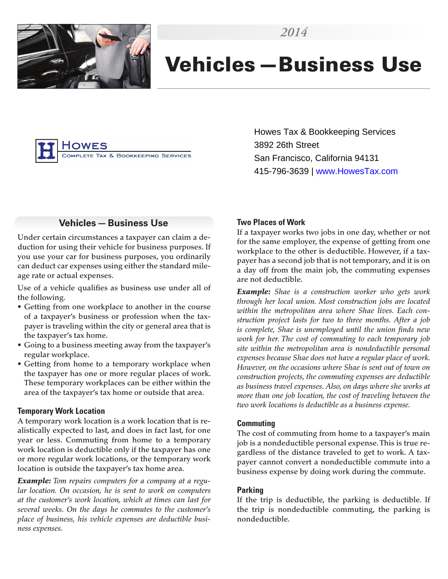

# Vehicles—Business Use



Howes Tax & Bookkeeping Services 3892 26th Street San Francisco, California 94131 415-796-3639 | www.HowesTax.com

# **Vehicles—Business Use**

Under certain circumstances a taxpayer can claim a deduction for using their vehicle for business purposes. If you use your car for business purposes, you ordinarily can deduct car expenses using either the standard mileage rate or actual expenses.

Use of a vehicle qualifies as business use under all of the following.

- Getting from one workplace to another in the course of a taxpayer's business or profession when the taxpayer is traveling within the city or general area that is the taxpayer's tax home.
- Going to a business meeting away from the taxpayer's regular workplace.
- Getting from home to a temporary workplace when the taxpayer has one or more regular places of work. These temporary workplaces can be either within the area of the taxpayer's tax home or outside that area.

#### **Temporary Work Location**

A temporary work location is a work location that is realistically expected to last, and does in fact last, for one year or less. Commuting from home to a temporary work location is deductible only if the taxpayer has one or more regular work locations, or the temporary work location is outside the taxpayer's tax home area.

*Example: Tom repairs computers for a company at a regular location. On occasion, he is sent to work on computers at the customer's work location, which at times can last for several weeks. On the days he commutes to the customer's place of business, his vehicle expenses are deductible business expenses.*

#### **Two Places of Work**

If a taxpayer works two jobs in one day, whether or not for the same employer, the expense of getting from one workplace to the other is deductible. However, if a taxpayer has a second job that is not temporary, and it is on a day off from the main job, the commuting expenses are not deductible.

*Example: Shae is a construction worker who gets work through her local union. Most construction jobs are located within the metropolitan area where Shae lives. Each construction project lasts for two to three months. After a job is complete, Shae is unemployed until the union finds new work for her. The cost of commuting to each temporary job site within the metropolitan area is nondeductible personal expenses because Shae does not have a regular place of work. However, on the occasions where Shae is sent out of town on construction projects, the commuting expenses are deductible as business travel expenses. Also, on days where she works at more than one job location, the cost of traveling between the two work locations is deductible as a business expense.*

#### **Commuting**

The cost of commuting from home to a taxpayer's main job is a nondeductible personal expense. This is true regardless of the distance traveled to get to work. A taxpayer cannot convert a nondeductible commute into a business expense by doing work during the commute.

#### **Parking**

If the trip is deductible, the parking is deductible. If the trip is nondeductible commuting, the parking is nondeductible.